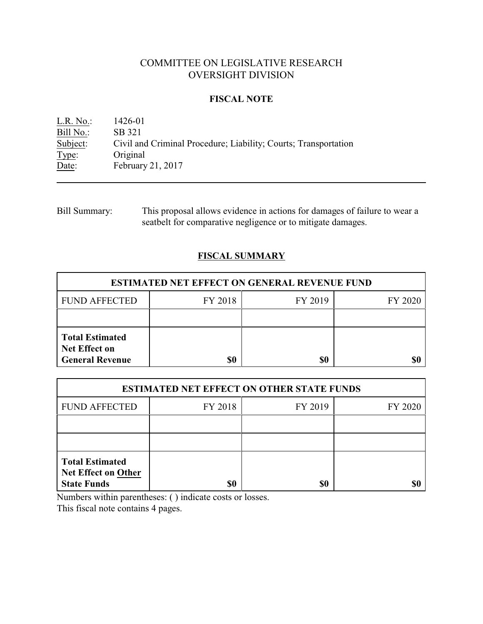# COMMITTEE ON LEGISLATIVE RESEARCH OVERSIGHT DIVISION

### **FISCAL NOTE**

L.R. No.: 1426-01 Bill No.: SB 321<br>Subject: Civil an Subject: Civil and Criminal Procedure; Liability; Courts; Transportation Type: Original Original Date: February 21, 2017

Bill Summary: This proposal allows evidence in actions for damages of failure to wear a seatbelt for comparative negligence or to mitigate damages.

## **FISCAL SUMMARY**

| <b>ESTIMATED NET EFFECT ON GENERAL REVENUE FUND</b>                      |         |         |         |  |
|--------------------------------------------------------------------------|---------|---------|---------|--|
| <b>FUND AFFECTED</b>                                                     | FY 2018 | FY 2019 | FY 2020 |  |
|                                                                          |         |         |         |  |
| <b>Total Estimated</b><br><b>Net Effect on</b><br><b>General Revenue</b> | \$0     | \$0     |         |  |

| <b>ESTIMATED NET EFFECT ON OTHER STATE FUNDS</b>                           |         |         |         |  |
|----------------------------------------------------------------------------|---------|---------|---------|--|
| <b>FUND AFFECTED</b>                                                       | FY 2018 | FY 2019 | FY 2020 |  |
|                                                                            |         |         |         |  |
|                                                                            |         |         |         |  |
| <b>Total Estimated</b><br><b>Net Effect on Other</b><br><b>State Funds</b> | \$0     | \$0     |         |  |

Numbers within parentheses: ( ) indicate costs or losses.

This fiscal note contains 4 pages.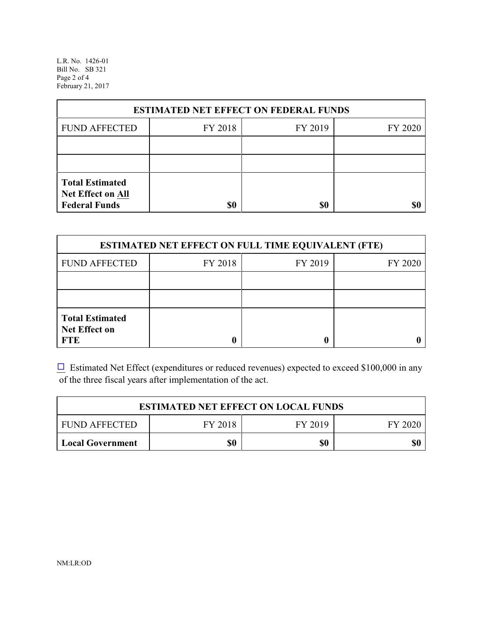L.R. No. 1426-01 Bill No. SB 321 Page 2 of 4 February 21, 2017

| <b>ESTIMATED NET EFFECT ON FEDERAL FUNDS</b>                        |         |         |         |  |
|---------------------------------------------------------------------|---------|---------|---------|--|
| <b>FUND AFFECTED</b>                                                | FY 2018 | FY 2019 | FY 2020 |  |
|                                                                     |         |         |         |  |
|                                                                     |         |         |         |  |
| <b>Total Estimated</b><br>Net Effect on All<br><b>Federal Funds</b> | \$0     | \$0     |         |  |

| <b>ESTIMATED NET EFFECT ON FULL TIME EQUIVALENT (FTE)</b>    |         |         |         |  |
|--------------------------------------------------------------|---------|---------|---------|--|
| <b>FUND AFFECTED</b>                                         | FY 2018 | FY 2019 | FY 2020 |  |
|                                                              |         |         |         |  |
|                                                              |         |         |         |  |
| <b>Total Estimated</b><br><b>Net Effect on</b><br><b>FTE</b> |         |         |         |  |

 $\Box$  Estimated Net Effect (expenditures or reduced revenues) expected to exceed \$100,000 in any of the three fiscal years after implementation of the act.

| <b>ESTIMATED NET EFFECT ON LOCAL FUNDS</b> |         |         |         |  |
|--------------------------------------------|---------|---------|---------|--|
| <b>FUND AFFECTED</b>                       | FY 2018 | FY 2019 | FY 2020 |  |
| Local Government                           | \$0     | \$0     | \$0     |  |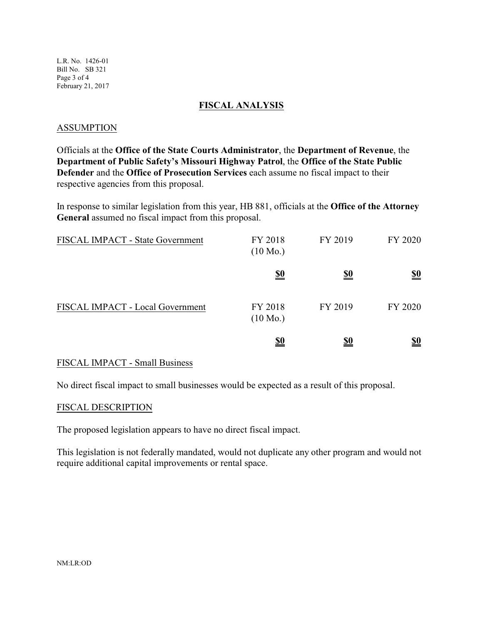L.R. No. 1426-01 Bill No. SB 321 Page 3 of 4 February 21, 2017

### **FISCAL ANALYSIS**

### ASSUMPTION

Officials at the **Office of the State Courts Administrator**, the **Department of Revenue**, the **Department of Public Safety's Missouri Highway Patrol**, the **Office of the State Public Defender** and the **Office of Prosecution Services** each assume no fiscal impact to their respective agencies from this proposal.

In response to similar legislation from this year, HB 881, officials at the **Office of the Attorney General** assumed no fiscal impact from this proposal.

| FISCAL IMPACT - State Government | FY 2018<br>$(10 \text{ Mo.})$ | FY 2019    | FY 2020                       |
|----------------------------------|-------------------------------|------------|-------------------------------|
|                                  | $\underline{\underline{\$0}}$ | <u>\$0</u> | $\underline{\underline{\$0}}$ |
| FISCAL IMPACT - Local Government | FY 2018<br>$(10 \text{ Mo.})$ | FY 2019    | FY 2020                       |
|                                  | <u>\$0</u>                    | <u>\$0</u> | <u>\$0</u>                    |

#### FISCAL IMPACT - Small Business

No direct fiscal impact to small businesses would be expected as a result of this proposal.

#### FISCAL DESCRIPTION

The proposed legislation appears to have no direct fiscal impact.

This legislation is not federally mandated, would not duplicate any other program and would not require additional capital improvements or rental space.